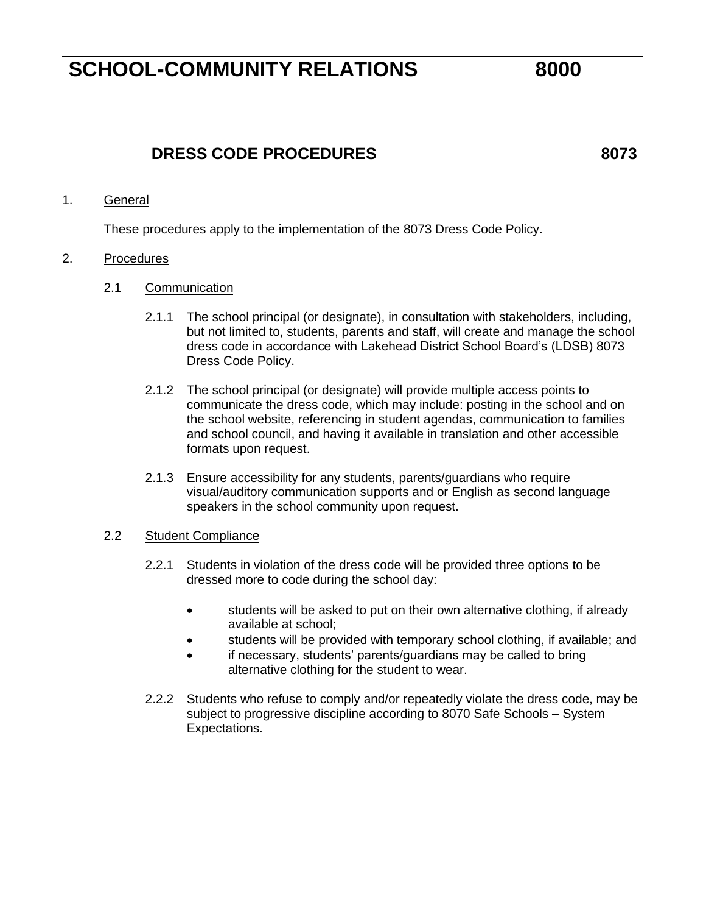### **DRESS CODE PROCEDURES 8073**

#### 1. General

These procedures apply to the implementation of the 8073 Dress Code Policy.

#### 2. Procedures

- 2.1 Communication
	- 2.1.1 The school principal (or designate), in consultation with stakeholders, including, but not limited to, students, parents and staff, will create and manage the school dress code in accordance with Lakehead District School Board's (LDSB) 8073 Dress Code Policy.
	- 2.1.2 The school principal (or designate) will provide multiple access points to communicate the dress code, which may include: posting in the school and on the school website, referencing in student agendas, communication to families and school council, and having it available in translation and other accessible formats upon request.
	- 2.1.3 Ensure accessibility for any students, parents/guardians who require visual/auditory communication supports and or English as second language speakers in the school community upon request.

### 2.2 Student Compliance

- 2.2.1 Students in violation of the dress code will be provided three options to be dressed more to code during the school day:
	- students will be asked to put on their own alternative clothing, if already available at school;
	- students will be provided with temporary school clothing, if available; and
	- if necessary, students' parents/guardians may be called to bring alternative clothing for the student to wear.
- 2.2.2 Students who refuse to comply and/or repeatedly violate the dress code, may be subject to progressive discipline according to 8070 Safe Schools – System Expectations.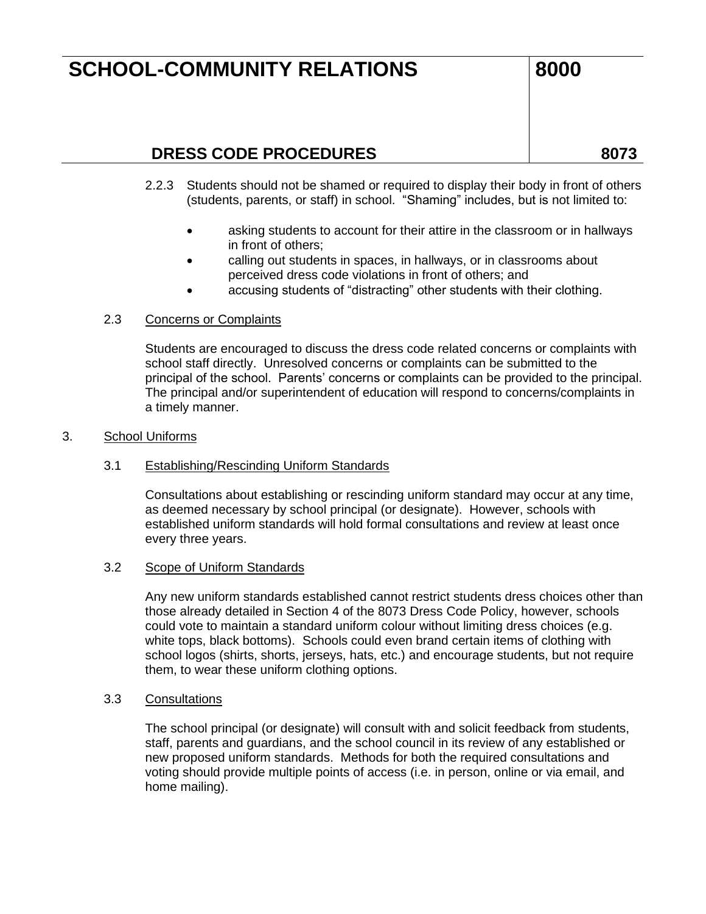### **DRESS CODE PROCEDURES 8073**

- 2.2.3 Students should not be shamed or required to display their body in front of others (students, parents, or staff) in school. "Shaming" includes, but is not limited to:
	- asking students to account for their attire in the classroom or in hallways in front of others;
	- calling out students in spaces, in hallways, or in classrooms about perceived dress code violations in front of others; and
	- accusing students of "distracting" other students with their clothing.

### 2.3 Concerns or Complaints

Students are encouraged to discuss the dress code related concerns or complaints with school staff directly. Unresolved concerns or complaints can be submitted to the principal of the school. Parents' concerns or complaints can be provided to the principal. The principal and/or superintendent of education will respond to concerns/complaints in a timely manner.

#### 3. School Uniforms

### 3.1 Establishing/Rescinding Uniform Standards

Consultations about establishing or rescinding uniform standard may occur at any time, as deemed necessary by school principal (or designate). However, schools with established uniform standards will hold formal consultations and review at least once every three years.

#### 3.2 Scope of Uniform Standards

Any new uniform standards established cannot restrict students dress choices other than those already detailed in Section 4 of the 8073 Dress Code Policy, however, schools could vote to maintain a standard uniform colour without limiting dress choices (e.g. white tops, black bottoms). Schools could even brand certain items of clothing with school logos (shirts, shorts, jerseys, hats, etc.) and encourage students, but not require them, to wear these uniform clothing options.

#### 3.3 Consultations

The school principal (or designate) will consult with and solicit feedback from students, staff, parents and guardians, and the school council in its review of any established or new proposed uniform standards. Methods for both the required consultations and voting should provide multiple points of access (i.e. in person, online or via email, and home mailing).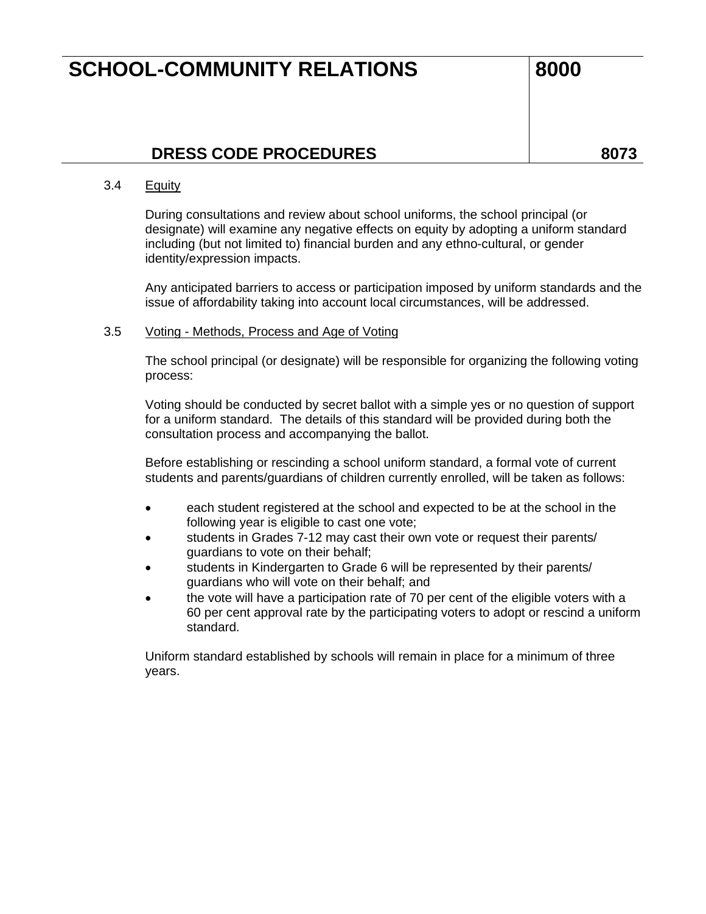### **DRESS CODE PROCEDURES 8073**

#### 3.4 Equity

During consultations and review about school uniforms, the school principal (or designate) will examine any negative effects on equity by adopting a uniform standard including (but not limited to) financial burden and any ethno-cultural, or gender identity/expression impacts.

Any anticipated barriers to access or participation imposed by uniform standards and the issue of affordability taking into account local circumstances, will be addressed.

#### 3.5 Voting - Methods, Process and Age of Voting

The school principal (or designate) will be responsible for organizing the following voting process:

Voting should be conducted by secret ballot with a simple yes or no question of support for a uniform standard. The details of this standard will be provided during both the consultation process and accompanying the ballot.

Before establishing or rescinding a school uniform standard, a formal vote of current students and parents/guardians of children currently enrolled, will be taken as follows:

- each student registered at the school and expected to be at the school in the following year is eligible to cast one vote;
- students in Grades 7-12 may cast their own vote or request their parents/ guardians to vote on their behalf;
- students in Kindergarten to Grade 6 will be represented by their parents/ guardians who will vote on their behalf; and
- the vote will have a participation rate of 70 per cent of the eligible voters with a 60 per cent approval rate by the participating voters to adopt or rescind a uniform standard.

Uniform standard established by schools will remain in place for a minimum of three years.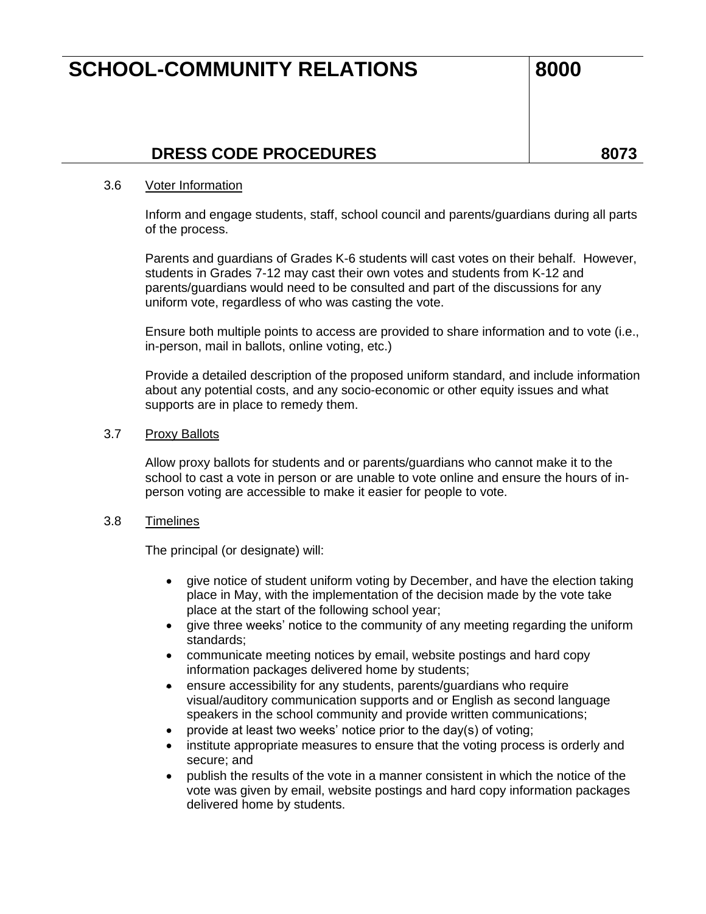### **DRESS CODE PROCEDURES 8073**

#### 3.6 Voter Information

Inform and engage students, staff, school council and parents/guardians during all parts of the process.

Parents and guardians of Grades K-6 students will cast votes on their behalf. However, students in Grades 7-12 may cast their own votes and students from K-12 and parents/guardians would need to be consulted and part of the discussions for any uniform vote, regardless of who was casting the vote.

Ensure both multiple points to access are provided to share information and to vote (i.e., in-person, mail in ballots, online voting, etc.)

Provide a detailed description of the proposed uniform standard, and include information about any potential costs, and any socio-economic or other equity issues and what supports are in place to remedy them.

#### 3.7 Proxy Ballots

Allow proxy ballots for students and or parents/guardians who cannot make it to the school to cast a vote in person or are unable to vote online and ensure the hours of inperson voting are accessible to make it easier for people to vote.

### 3.8 Timelines

The principal (or designate) will:

- give notice of student uniform voting by December, and have the election taking place in May, with the implementation of the decision made by the vote take place at the start of the following school year;
- give three weeks' notice to the community of any meeting regarding the uniform standards;
- communicate meeting notices by email, website postings and hard copy information packages delivered home by students;
- ensure accessibility for any students, parents/guardians who require visual/auditory communication supports and or English as second language speakers in the school community and provide written communications;
- provide at least two weeks' notice prior to the day(s) of voting;
- institute appropriate measures to ensure that the voting process is orderly and secure; and
- publish the results of the vote in a manner consistent in which the notice of the vote was given by email, website postings and hard copy information packages delivered home by students.